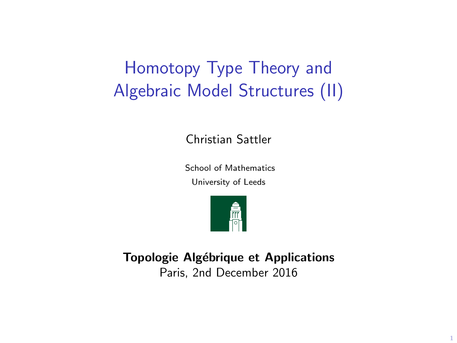# Homotopy Type Theory and Algebraic Model Structures (II)

Christian Sattler

School of Mathematics

University of Leeds



Topologie Algébrique et Applications Paris, 2nd December 2016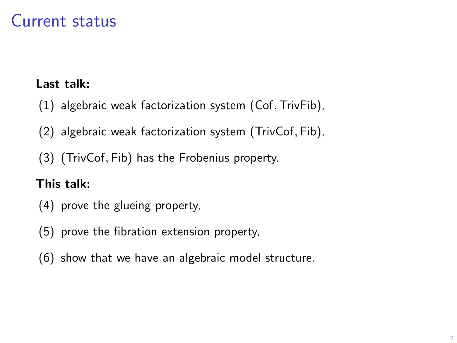### Current status

### Last talk:

- (1) algebraic weak factorization system (Cof,TrivFib),
- (2) algebraic weak factorization system (TrivCof, Fib),
- (3) (TrivCof, Fib) has the Frobenius property.

### This talk:

- (4) prove the glueing property,
- (5) prove the fibration extension property,
- (6) show that we have an algebraic model structure.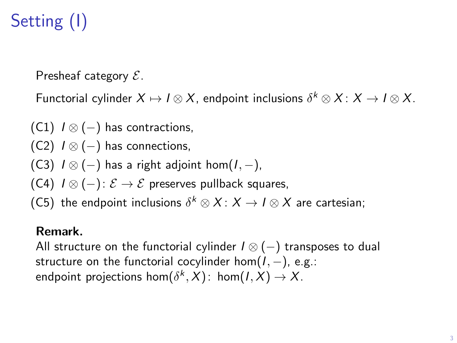# Setting (I)

Presheaf category  $\mathcal{E}$ .

Functorial cylinder  $X \mapsto I \otimes X$ , endpoint inclusions  $\delta^k \otimes X \colon X \to I \otimes X$ .

- (C1)  $I \otimes (-)$  has contractions,
- (C2)  $I \otimes (-)$  has connections,
- (C3)  $I \otimes (-)$  has a right adjoint hom $(I, -)$ ,
- (C4)  $I \otimes (-) : \mathcal{E} \rightarrow \mathcal{E}$  preserves pullback squares,
- (C5) the endpoint inclusions  $\delta^k \otimes X \colon X \to I \otimes X$  are cartesian;

#### Remark.

All structure on the functorial cylinder  $I \otimes (-)$  transposes to dual structure on the functorial cocylinder hom $(I, -)$ , e.g.: endpoint projections hom $(\delta^k, X)$ : hom $(I, X) \to X$ .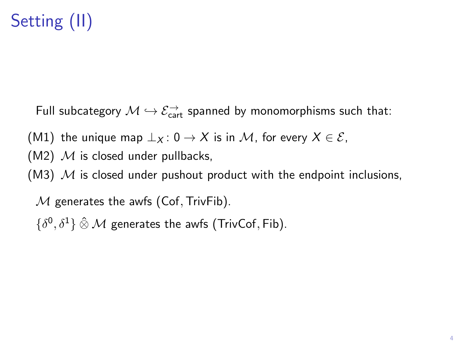# Setting (II)

Full subcategory  $\mathcal{M} \hookrightarrow \mathcal{E}^\rightarrow_{\mathsf{cart}}$  spanned by monomorphisms such that:

(M1) the unique map  $\perp_X$ : 0  $\rightarrow X$  is in M, for every  $X \in \mathcal{E}$ ,

- $(M2)$  M is closed under pullbacks,
- (M3)  $M$  is closed under pushout product with the endpoint inclusions,

 $M$  generates the awfs (Cof, TrivFib).

 $\{\delta^0, \delta^1\}$   $\hat{\otimes}$  *M* generates the awfs (TrivCof, Fib).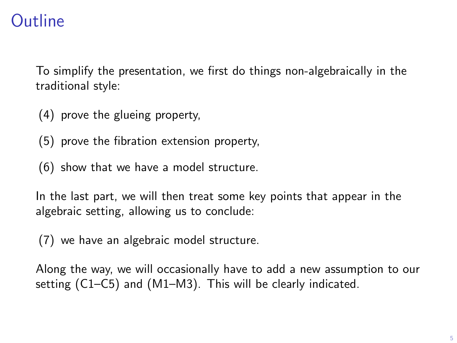### **Outline**

To simplify the presentation, we first do things non-algebraically in the traditional style:

- (4) prove the glueing property,
- (5) prove the fibration extension property,
- (6) show that we have a model structure.

In the last part, we will then treat some key points that appear in the algebraic setting, allowing us to conclude:

(7) we have an algebraic model structure.

Along the way, we will occasionally have to add a new assumption to our setting (C1–C5) and (M1–M3). This will be clearly indicated.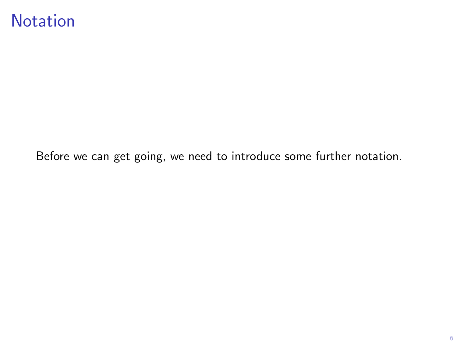### **Notation**

Before we can get going, we need to introduce some further notation.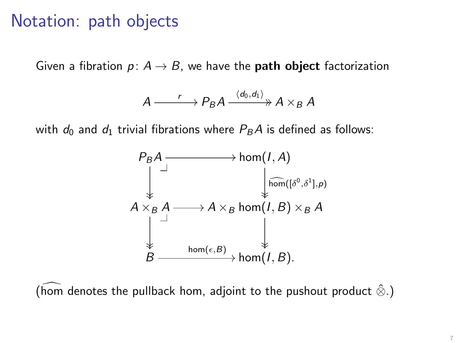### Notation: path objects

Given a fibration  $p: A \rightarrow B$ , we have the **path object** factorization

$$
A \xrightarrow{r} P_B A \xrightarrow{\langle d_0, d_1 \rangle} A \times_B A
$$

with  $d_0$  and  $d_1$  trivial fibrations where  $P_B A$  is defined as follows:



(hom denotes the pullback hom, adjoint to the pushout product  $\hat{\otimes}$ .)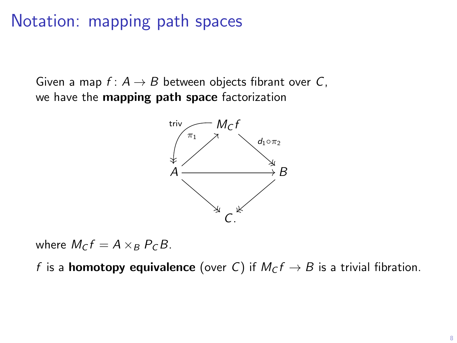### Notation: mapping path spaces

Given a map  $f: A \rightarrow B$  between objects fibrant over C, we have the mapping path space factorization



where  $M_c f = A \times_B P_c B$ .

f is a **homotopy equivalence** (over C) if  $M_c f \rightarrow B$  is a trivial fibration.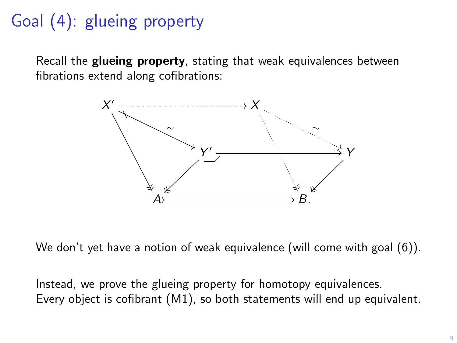# Goal (4): glueing property

Recall the **glueing property**, stating that weak equivalences between fibrations extend along cofibrations:



We don't yet have a notion of weak equivalence (will come with goal  $(6)$ ).

Instead, we prove the glueing property for homotopy equivalences. Every object is cofibrant (M1), so both statements will end up equivalent.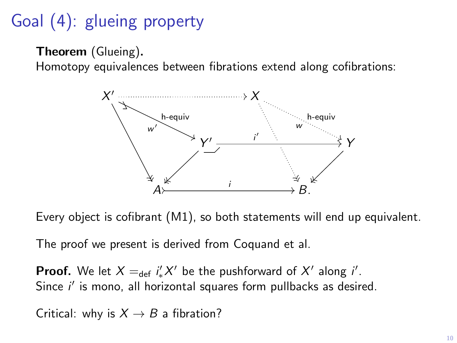# Goal (4): glueing property

```
Theorem (Glueing).
```
Homotopy equivalences between fibrations extend along cofibrations:



Every object is cofibrant (M1), so both statements will end up equivalent.

The proof we present is derived from Coquand et al.

**Proof.** We let  $X =_{def} i'_* X'$  be the pushforward of  $X'$  along  $i'$ . Since  $i'$  is mono, all horizontal squares form pullbacks as desired.

Critical: why is  $X \rightarrow B$  a fibration?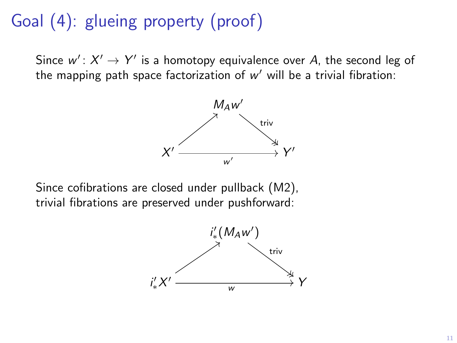# Goal (4): glueing property (proof)

Since  $w' \colon X' \to Y'$  is a homotopy equivalence over A, the second leg of the mapping path space factorization of  $w'$  will be a trivial fibration:



Since cofibrations are closed under pullback (M2), trivial fibrations are preserved under pushforward:

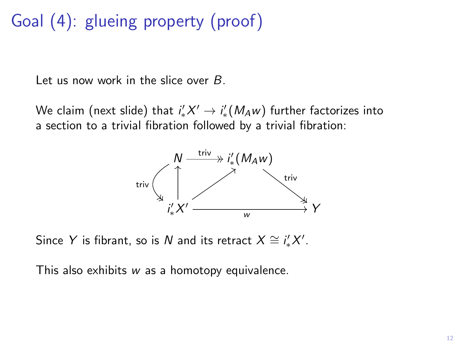# Goal (4): glueing property (proof)

Let us now work in the slice over B.

We claim (next slide) that  $\mathit{i}'_{*}X' \rightarrow \mathit{i}'_{*}(M_{A}w)$  further factorizes into a section to a trivial fibration followed by a trivial fibration:



Since Y is fibrant, so is N and its retract  $X \cong i'_*X'.$ 

This also exhibits w as a homotopy equivalence.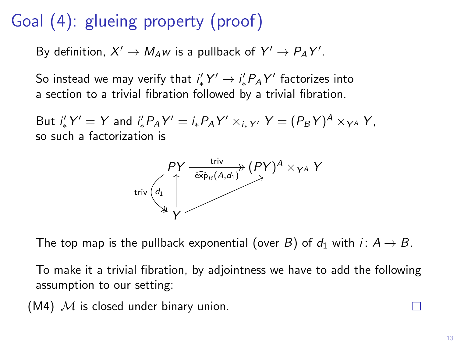# Goal (4): glueing property (proof)

By definition,  $X' \to M_A w$  is a pullback of  $Y' \to P_A Y'$ .

So instead we may verify that  $i'_*Y' \to i'_* P_A Y'$  factorizes into a section to a trivial fibration followed by a trivial fibration.

But  $i'_{*}Y' = Y$  and  $i'_{*}P_{A}Y' = i_{*}P_{A}Y' \times_{i_{*}Y'} Y = (P_{B}Y)^{A} \times_{Y^{A}} Y$ , so such a factorization is



The top map is the pullback exponential (over B) of  $d_1$  with  $i: A \rightarrow B$ .

To make it a trivial fibration, by adjointness we have to add the following assumption to our setting:

(M4)  $M$  is closed under binary union.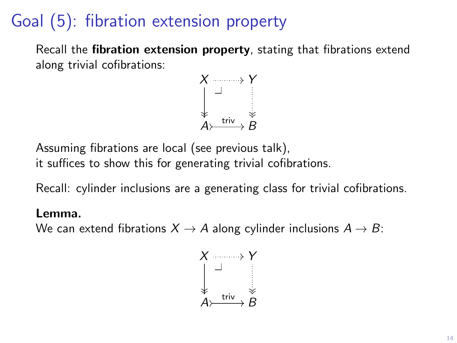## Goal (5): fibration extension property

Recall the **fibration extension property**, stating that fibrations extend along trivial cofibrations:



Assuming fibrations are local (see previous talk),

it suffices to show this for generating trivial cofibrations.

Recall: cylinder inclusions are a generating class for trivial cofibrations.

#### Lemma.

We can extend fibrations  $X \rightarrow A$  along cylinder inclusions  $A \rightarrow B$ :

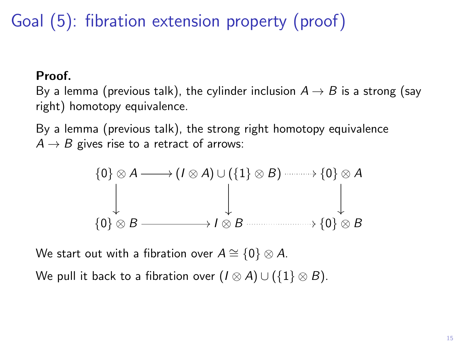Goal (5): fibration extension property (proof)

### Proof.

By a lemma (previous talk), the cylinder inclusion  $A \rightarrow B$  is a strong (say right) homotopy equivalence.

By a lemma (previous talk), the strong right homotopy equivalence  $A \rightarrow B$  gives rise to a retract of arrows:

$$
\{0\} \otimes A \longrightarrow (I \otimes A) \cup (\{1\} \otimes B) \longrightarrow \{0\} \otimes A
$$
  

$$
\downarrow \qquad \qquad \downarrow \qquad \qquad \downarrow
$$
  

$$
\{0\} \otimes B \longrightarrow I \otimes B \longrightarrow \{0\} \otimes B
$$

We start out with a fibration over  $A \cong \{0\} \otimes A$ . We pull it back to a fibration over  $(I \otimes A) \cup (\{1\} \otimes B)$ .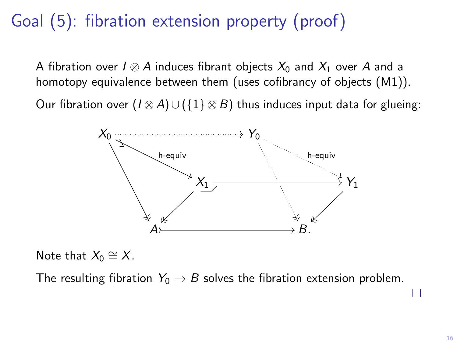## Goal (5): fibration extension property (proof)

A fibration over  $I \otimes A$  induces fibrant objects  $X_0$  and  $X_1$  over A and a homotopy equivalence between them (uses cofibrancy of objects (M1)).

Our fibration over  $(I \otimes A) \cup (\{1\} \otimes B)$  thus induces input data for glueing:



Note that  $X_0 \cong X$ .

The resulting fibration  $Y_0 \rightarrow B$  solves the fibration extension problem.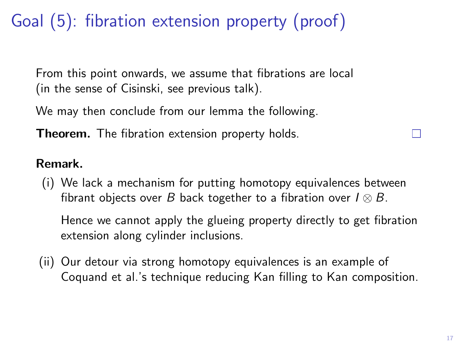# Goal (5): fibration extension property (proof)

From this point onwards, we assume that fibrations are local (in the sense of Cisinski, see previous talk).

We may then conclude from our lemma the following.

**Theorem.** The fibration extension property holds.

### Remark.

(i) We lack a mechanism for putting homotopy equivalences between fibrant objects over B back together to a fibration over  $I \otimes B$ .

Hence we cannot apply the glueing property directly to get fibration extension along cylinder inclusions.

(ii) Our detour via strong homotopy equivalences is an example of Coquand et al.'s technique reducing Kan filling to Kan composition.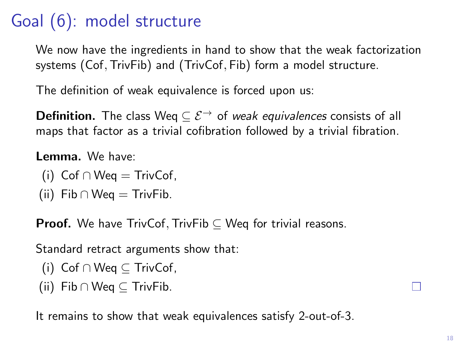# Goal (6): model structure

We now have the ingredients in hand to show that the weak factorization systems (Cof, TrivFib) and (TrivCof, Fib) form a model structure.

The definition of weak equivalence is forced upon us:

**Definition.** The class Weq  $\subseteq \mathcal{E}^{\rightarrow}$  of weak equivalences consists of all maps that factor as a trivial cofibration followed by a trivial fibration.

Lemma. We have:

- (i)  $Cof \cap Weq = TrivCof$ ,
- (ii) Fib ∩ Weq = TrivFib.

**Proof.** We have TrivCof, TrivFib  $\subseteq$  Weq for trivial reasons.

Standard retract arguments show that:

- (i) Cof ∩ Weq ⊆ TrivCof,
- (ii) Fib ∩ Weq  $\subseteq$  TrivFib.

It remains to show that weak equivalences satisfy 2-out-of-3.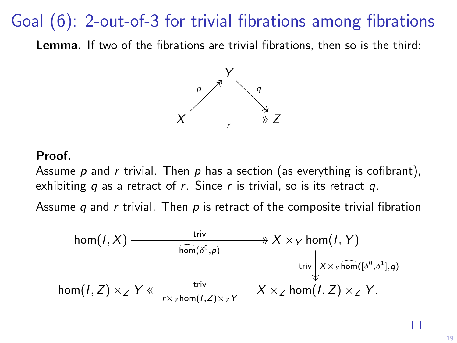### Goal (6): 2-out-of-3 for trivial fibrations among fibrations

Lemma. If two of the fibrations are trivial fibrations, then so is the third:



#### Proof.

Assume p and r trivial. Then p has a section (as everything is cofibrant), exhibiting  $q$  as a retract of  $r$ . Since  $r$  is trivial, so is its retract  $q$ .

Assume q and r trivial. Then  $p$  is retract of the composite trivial fibration

$$
\begin{array}{ccc}\n\hom(I, X) & \xrightarrow{\text{triv}} & \mathcal{X} \times_Y \hom(I, Y) \\
\hline\n\hom(\delta^0, p) & \text{triv} & \mathcal{X} \times_Y \widehat{\hom([\delta^0, \delta^1], q)} \\
\hom(I, Z) \times_Z Y & \xrightarrow{\text{triv}} & X \times_Z \hom(I, Z) \times_Z Y.\n\end{array}
$$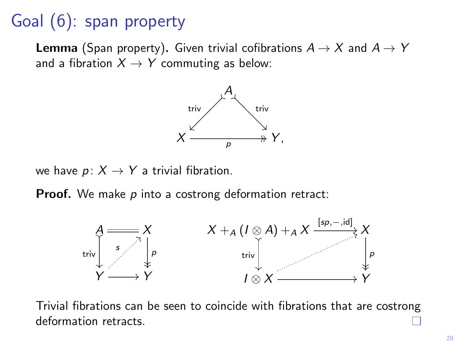## Goal (6): span property

**Lemma** (Span property). Given trivial cofibrations  $A \rightarrow X$  and  $A \rightarrow Y$ and a fibration  $X \rightarrow Y$  commuting as below:



we have  $p: X \rightarrow Y$  a trivial fibration.

**Proof.** We make  $p$  into a costrong deformation retract:



Trivial fibrations can be seen to coincide with fibrations that are costrong deformation retracts.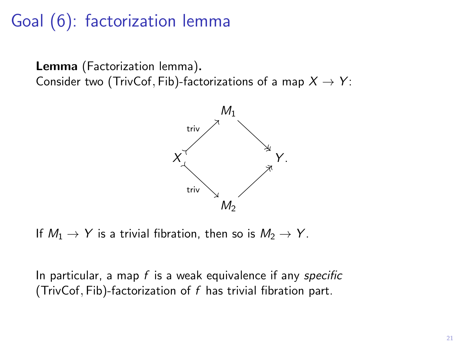## Goal (6): factorization lemma

Lemma (Factorization lemma). Consider two (TrivCof, Fib)-factorizations of a map  $X \rightarrow Y$ :



If  $M_1 \rightarrow Y$  is a trivial fibration, then so is  $M_2 \rightarrow Y$ .

In particular, a map  $f$  is a weak equivalence if any specific (TrivCof, Fib)-factorization of  $f$  has trivial fibration part.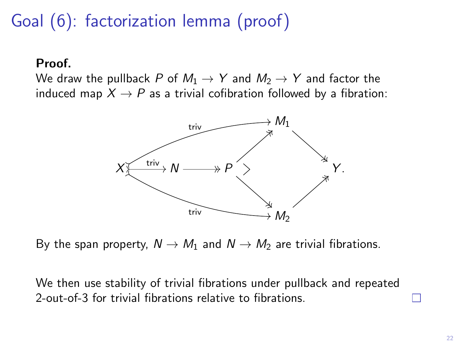# Goal (6): factorization lemma (proof)

#### Proof.

We draw the pullback P of  $M_1 \rightarrow Y$  and  $M_2 \rightarrow Y$  and factor the induced map  $X \rightarrow P$  as a trivial cofibration followed by a fibration:



By the span property,  $N \rightarrow M_1$  and  $N \rightarrow M_2$  are trivial fibrations.

We then use stability of trivial fibrations under pullback and repeated 2-out-of-3 for trivial fibrations relative to fibrations.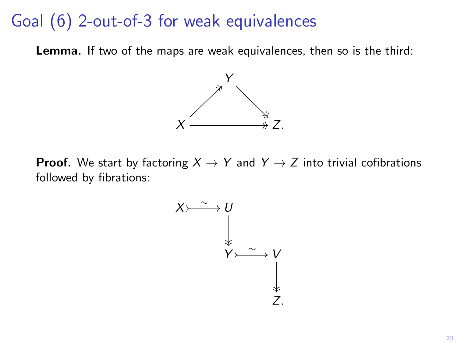### Goal (6) 2-out-of-3 for weak equivalences

Lemma. If two of the maps are weak equivalences, then so is the third:



**Proof.** We start by factoring  $X \rightarrow Y$  and  $Y \rightarrow Z$  into trivial cofibrations followed by fibrations:

$$
X \rightarrow \begin{matrix} 0 \\ \downarrow \\ \downarrow \\ Y \rightarrow \sim \\ \downarrow \\ \downarrow \\ Z \end{matrix}
$$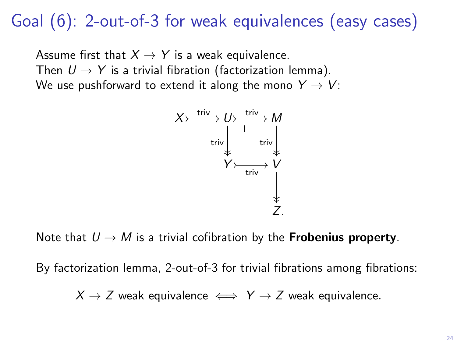### Goal (6): 2-out-of-3 for weak equivalences (easy cases)

Assume first that  $X \rightarrow Y$  is a weak equivalence. Then  $U \rightarrow Y$  is a trivial fibration (factorization lemma). We use pushforward to extend it along the mono  $Y \rightarrow V$ :



Note that  $U \rightarrow M$  is a trivial cofibration by the **Frobenius property**.

By factorization lemma, 2-out-of-3 for trivial fibrations among fibrations:

 $X \rightarrow Z$  weak equivalence  $\iff Y \rightarrow Z$  weak equivalence.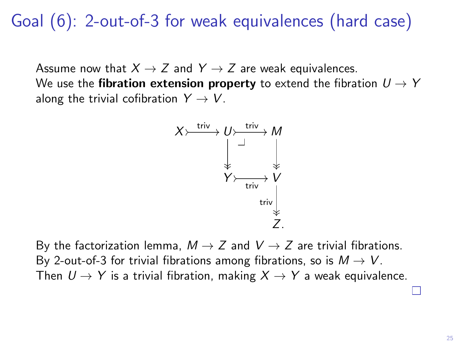### Goal (6): 2-out-of-3 for weak equivalences (hard case)

Assume now that  $X \to Z$  and  $Y \to Z$  are weak equivalences. We use the fibration extension property to extend the fibration  $U \rightarrow Y$ along the trivial cofibration  $Y \rightarrow V$ .



By the factorization lemma,  $M \rightarrow Z$  and  $V \rightarrow Z$  are trivial fibrations. By 2-out-of-3 for trivial fibrations among fibrations, so is  $M \to V$ . Then  $U \rightarrow Y$  is a trivial fibration, making  $X \rightarrow Y$  a weak equivalence.

П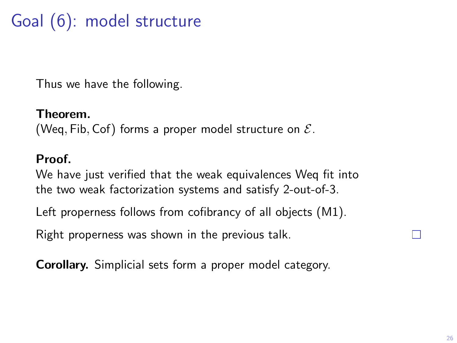# Goal (6): model structure

Thus we have the following.

#### Theorem.

(Weq, Fib, Cof) forms a proper model structure on  $\mathcal{E}$ .

#### Proof.

We have just verified that the weak equivalences Weq fit into the two weak factorization systems and satisfy 2-out-of-3.

Left properness follows from cofibrancy of all objects (M1).

Right properness was shown in the previous talk.

Corollary. Simplicial sets form a proper model category.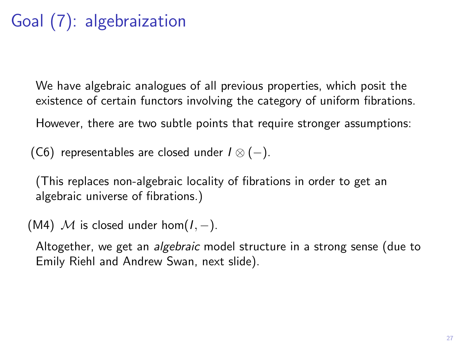# Goal (7): algebraization

We have algebraic analogues of all previous properties, which posit the existence of certain functors involving the category of uniform fibrations.

However, there are two subtle points that require stronger assumptions:

(C6) representables are closed under  $I \otimes (-)$ .

(This replaces non-algebraic locality of fibrations in order to get an algebraic universe of fibrations.)

(M4) M is closed under hom $(I, -)$ .

Altogether, we get an algebraic model structure in a strong sense (due to Emily Riehl and Andrew Swan, next slide).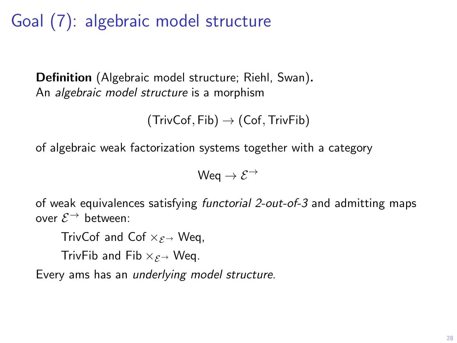Goal (7): algebraic model structure

Definition (Algebraic model structure; Riehl, Swan). An algebraic model structure is a morphism

 $(TrivCof, Fib) \rightarrow (Cof, TrivFib)$ 

of algebraic weak factorization systems together with a category

Wea  $\rightarrow$   $\mathcal{E}^{\rightarrow}$ 

of weak equivalences satisfying functorial 2-out-of-3 and admitting maps over  $\mathcal{E}^{\rightarrow}$  between:

TrivCof and Cof  $\times$   $\epsilon$  → Weg.

TrivFib and Fib  $\times$   $\epsilon \rightarrow$  Weg.

Every ams has an underlying model structure.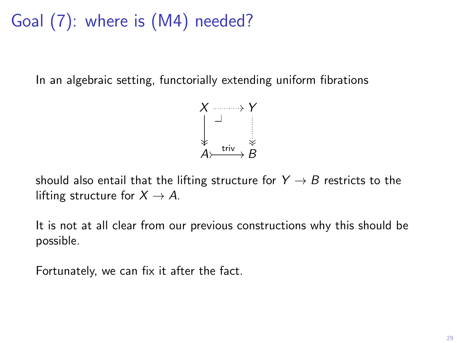# Goal (7): where is (M4) needed?

In an algebraic setting, functorially extending uniform fibrations



should also entail that the lifting structure for  $Y \rightarrow B$  restricts to the lifting structure for  $X \rightarrow A$ .

It is not at all clear from our previous constructions why this should be possible.

Fortunately, we can fix it after the fact.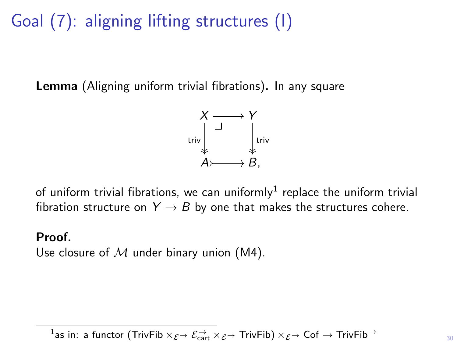# Goal (7): aligning lifting structures (I)

Lemma (Aligning uniform trivial fibrations). In any square



of uniform trivial fibrations, we can uniformly $^1$  replace the uniform trivial fibration structure on  $Y \rightarrow B$  by one that makes the structures cohere.

#### Proof.

Use closure of  $M$  under binary union (M4).

 $\frac{1}{1}$ as in: a functor (TrivFib  $\times$   $\mathcal{E}$  →  $\mathcal{E}$   $\to$   $\mathcal{E}$   $\to$   $\infty$   $\mathcal{E}$   $\to$   $\infty$   $\mathcal{E}$   $\to$   $\infty$   $\mathcal{E}$   $\to$   $\infty$   $\mathcal{E}$   $\to$   $\infty$   $\mathcal{E}$   $\to$   $\infty$   $\mathcal{E}$   $\to$   $\infty$   $\mathcal{E}$   $\to$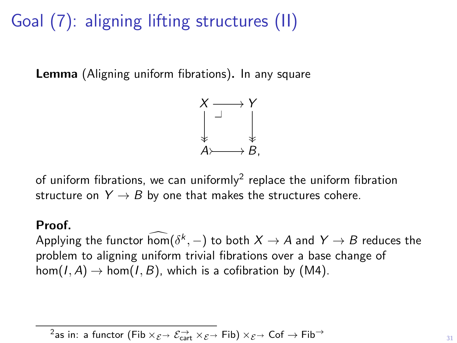# Goal (7): aligning lifting structures (II)

Lemma (Aligning uniform fibrations). In any square



of uniform fibrations, we can uniformly<sup>2</sup> replace the uniform fibration structure on  $Y \rightarrow B$  by one that makes the structures cohere.

#### Proof.

Applying the functor  $\hom(\delta^k,-)$  to both  $X \to A$  and  $Y \to B$  reduces the problem to aligning uniform trivial fibrations over a base change of  $hom(I, A) \to hom(I, B)$ , which is a cofibration by (M4).

```
<sup>2</sup>as in: a functor (Fib \times_{\mathcal{E}} \rightarrow \mathcal{E}_{cart} \times_{\mathcal{E}} \rightarrow Fib) \times_{\mathcal{E}} \rightarrow Cof \rightarrow Fib<sup>-3</sup>
```